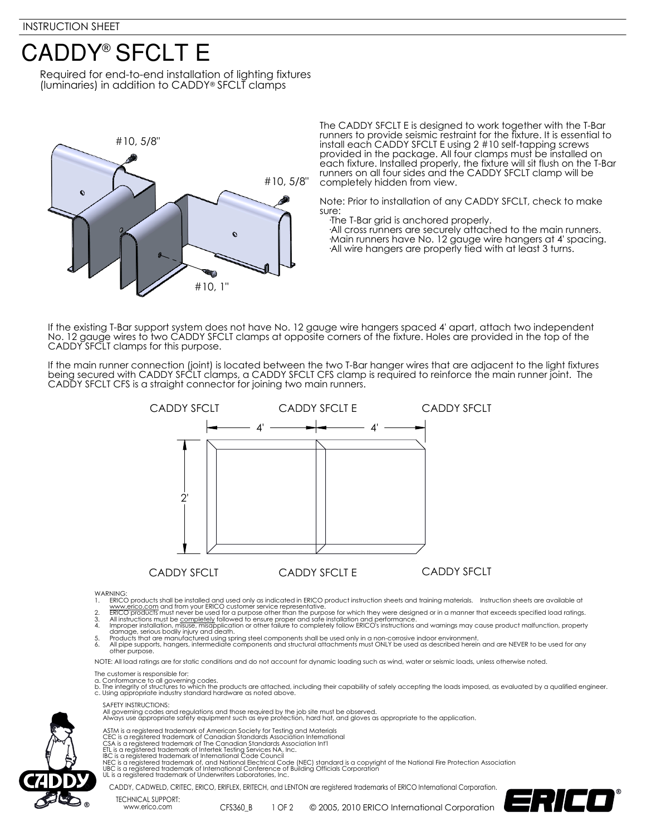## **CADDY® SFCLT E**

Required for end-to-end installation of lighting fixtures (luminaries) in addition to CADDY® SFCLT clamps



The CADDY SFCLT E is designed to work together with the T-Bar runners to provide seismic restraint for the fixture. It is essential to install each CADDY SFCLT E using 2 #10 self-tapping screws provided in the package. All four clamps must be installed on each fixture. Installed properly, the fixture will sit flush on the T-Bar runners on all four sides and the CADDY SFCLT clamp will be completely hidden from view.

Note: Prior to installation of any CADDY SFCLT, check to make sure:

·The T-Bar grid is anchored properly.

 ·All cross runners are securely attached to the main runners. ·Main runners have No. 12 gauge wire hangers at 4' spacing. ·All wire hangers are properly tied with at least 3 turns.

If the existing T-Bar support system does not have No. 12 gauge wire hangers spaced 4' apart, attach two independent No. 12 gauge wires to two CADDY SFCLT clamps at opposite corners of the fixture. Holes are provided in the top of the CADDY SFCLT clamps for this purpose.

If the main runner connection (joint) is located between the two T-Bar hanger wires that are adjacent to the light fixtures being secured with CADDY SFCLT clamps, a CADDY SFCLT CFS clamp is required to reinforce the main runner joint. The CADDY SFCLT CFS is a straight connector for joining two main runners.



WARNING:<br>1. ERICC

- 1. ERICO products shall be installed and used only as indicated in ERICO product instruction sheets and training materials. Instruction sheets are available at
- www.<u>erico.com</u> and from your ERICO customer service representative.<br>2. ERICO products must never be used for a purpose other than the purpose for which they were designed or in a manner that exceeds specified load ratings
- 
- damage, serious bodily injury and death.<br>5. Products that are manufactured using spring steel components shall be used only in a non-corrosive indoor environment.<br>6. All pipe supports, hangers, intermediate componen
- other purpose.

NOTE: All load ratings are for static conditions and do not account for dynamic loading such as wind, water or seismic loads, unless otherwise noted.

The customer is responsible for:

- a. Conformance to all governing codes.<br>b. The integrity of structures to which the products are attached, including their capability of safely accepting the loads imposed, as evaluated by a qualified engineer.<br>c. Using app
- SAFETY INSTRUCTIONS:

All governing codes and regulations and those required by the job site must be observed. Always use appropriate safety equipment such as eye protection, hard hat, and gloves as appropriate to the application.



- ASTM is a registered trademark of American Society for Testing and Materials<br>CEC is a registered trademark of Canadian Standards Association International<br>CSA is a registered trademark of The Canadian Standards Association
- 
- 
- NEC is a registered trademark of, and National Electrical Code (NEC) standard is a copyright of the National Fire Protection Association<br>UBC is a registered trademark of International Conference of Building Officials Corpo
	-

www.erico.com CFS360\_B

CADDY, CADWELD, CRITEC, ERICO, ERIFLEX, ERITECH, and LENTON are registered trademarks of ERICO International Corporation. TECHNICAL SUPPORT: